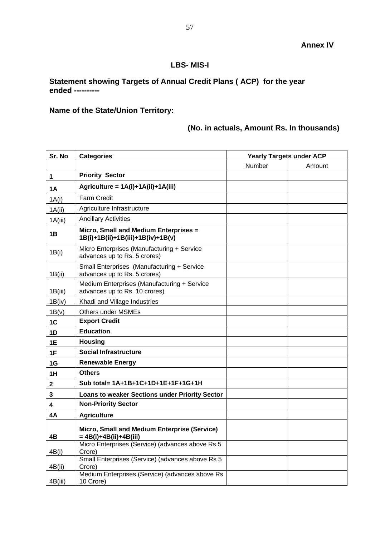## **LBS- MIS-I**

## **Statement showing Targets of Annual Credit Plans ( ACP) for the year ended ----------**

## **Name of the State/Union Territory:**

## **(No. in actuals, Amount Rs. In thousands)**

| Sr. No    | <b>Categories</b>                                                            | <b>Yearly Targets under ACP</b> |        |
|-----------|------------------------------------------------------------------------------|---------------------------------|--------|
|           |                                                                              | Number                          | Amount |
| 1         | <b>Priority Sector</b>                                                       |                                 |        |
| <b>1A</b> | Agriculture = 1A(i)+1A(ii)+1A(iii)                                           |                                 |        |
| 1A(i)     | <b>Farm Credit</b>                                                           |                                 |        |
| 1A(ii)    | Agriculture Infrastructure                                                   |                                 |        |
| 1A(iii)   | <b>Ancillary Activities</b>                                                  |                                 |        |
| 1B        | Micro, Small and Medium Enterprises =<br>1B(i)+1B(ii)+1B(iii)+1B(iv)+1B(v)   |                                 |        |
| 1B(i)     | Micro Enterprises (Manufacturing + Service<br>advances up to Rs. 5 crores)   |                                 |        |
| 1B(ii)    | Small Enterprises (Manufacturing + Service<br>advances up to Rs. 5 crores)   |                                 |        |
| 1B(iii)   | Medium Enterprises (Manufacturing + Service<br>advances up to Rs. 10 crores) |                                 |        |
| 1B(iv)    | Khadi and Village Industries                                                 |                                 |        |
| 1B(v)     | <b>Others under MSMEs</b>                                                    |                                 |        |
| 1C        | <b>Export Credit</b>                                                         |                                 |        |
| 1D        | <b>Education</b>                                                             |                                 |        |
| 1E        | <b>Housing</b>                                                               |                                 |        |
| 1F        | <b>Social Infrastructure</b>                                                 |                                 |        |
| 1G        | <b>Renewable Energy</b>                                                      |                                 |        |
| 1H        | <b>Others</b>                                                                |                                 |        |
| 2         | Sub total= 1A+1B+1C+1D+1E+1F+1G+1H                                           |                                 |        |
| 3         | <b>Loans to weaker Sections under Priority Sector</b>                        |                                 |        |
| 4         | <b>Non-Priority Sector</b>                                                   |                                 |        |
| 4A        | <b>Agriculture</b>                                                           |                                 |        |
| 4Β        | Micro, Small and Medium Enterprise (Service)<br>$= 4B(i)+4B(ii)+4B(iii)$     |                                 |        |
| 4B(i)     | Micro Enterprises (Service) (advances above Rs 5<br>Crore)                   |                                 |        |
| 4B(ii)    | Small Enterprises (Service) (advances above Rs 5<br>Crore)                   |                                 |        |
| 4B(iii)   | Medium Enterprises (Service) (advances above Rs<br>10 Crore)                 |                                 |        |